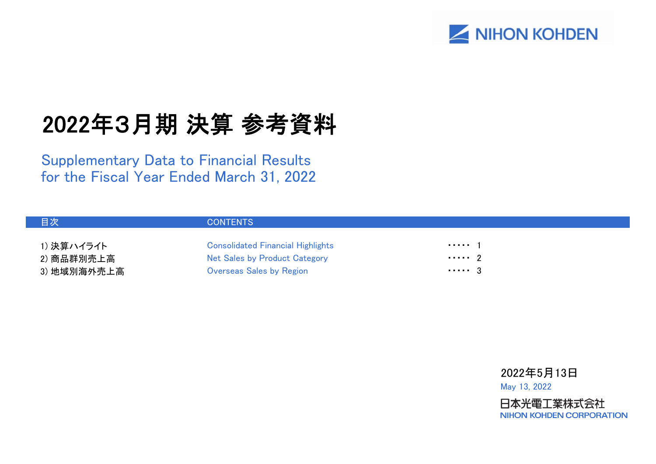

# 2022年3月期 決算 参考資料

Supplementary Data to Financial Results for the Fiscal Year Ended March 31, 2022

| 目次          | <b>CONTENTS</b>                          |            |
|-------------|------------------------------------------|------------|
| 1) 決算ハイライト  | <b>Consolidated Financial Highlights</b> | . 1        |
| 2) 商品群別売上高  | Net Sales by Product Category            | $\cdots$ 2 |
| 3) 地域別海外売上高 | <b>Overseas Sales by Region</b>          | $\cdots$ 3 |

2022年5月13日 May 13, 2022

日本光電工業株式会社 **NIHON KOHDEN CORPORATION**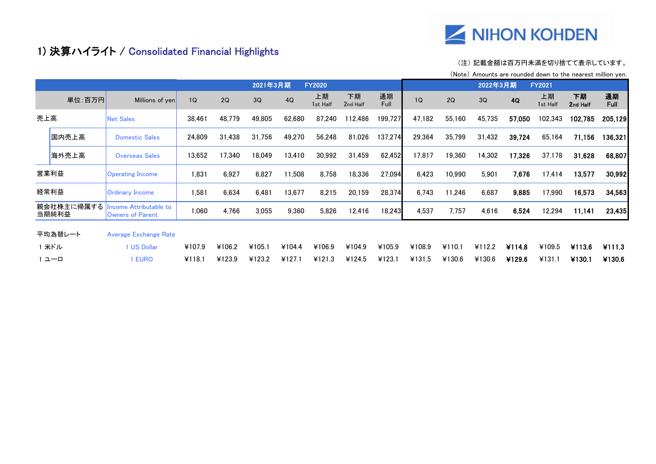

## 1) 決算ハイライト / Consolidated Financial Highlights

#### (注) 記載金額は百万円未満を切り捨てて表示しています。

(Note) Amounts are rounded down to the nearest million yen.

| 2021年3月期<br><b>FY2020</b> |                     |                                                         |        |        |        |        |                |                |            |        |        | 2022年3月期 |        | <b>FY2021</b>  |                |                   |
|---------------------------|---------------------|---------------------------------------------------------|--------|--------|--------|--------|----------------|----------------|------------|--------|--------|----------|--------|----------------|----------------|-------------------|
|                           | 単位:百万円              | Millions of yen                                         | 1Q     | 2Q     | 3Q     | 4Q     | 上期<br>1st Half | 下期<br>2nd Half | 通期<br>Full | 1Q     | 2Q     | 3Q       | 4Q     | 上期<br>1st Half | 下期<br>2nd Half | 通期<br><b>Full</b> |
| 売上高                       |                     | <b>Net Sales</b>                                        | 38.461 | 48,779 | 49,805 | 62,680 | 87,240         | 112,486        | 199,727    | 47.182 | 55,160 | 45,735   | 57,050 | 102,343        | 102,785        | 205,129           |
|                           | 国内売上高               | <b>Domestic Sales</b>                                   | 24,809 | 31,438 | 31.756 | 49,270 | 56,248         | 81.026         | 137,274    | 29,364 | 35,799 | 31.432   | 39,724 | 65,164         | 71,156         | 136,321           |
|                           | 海外売上高               | <b>Overseas Sales</b>                                   | 13,652 | 17,340 | 18,049 | 13,410 | 30,992         | 31,459         | 62,452     | 17,817 | 19,360 | 14,302   | 17,326 | 37,178         | 31,628         | 68,807            |
|                           | 営業利益                | <b>Operating Income</b>                                 | 1,831  | 6,927  | 6,827  | 11,508 | 8,758          | 18.336         | 27,094     | 6,423  | 10,990 | 5,901    | 7,676  | 17,414         | 13,577         | 30,992            |
|                           | 経常利益                | <b>Ordinary Income</b>                                  | 1,581  | 6,634  | 6,481  | 13,677 | 8,215          | 20,159         | 28,374     | 6,743  | 11,246 | 6,687    | 9,885  | 17,990         | 16,573         | 34,563            |
|                           | 親会社株主に帰属する<br>当期純利益 | <b>ncome Attributable to</b><br><b>Owners of Parent</b> | 1,060  | 4,766  | 3,055  | 9,360  | 5,826          | 12,416         | 18,243     | 4,537  | 7,757  | 4,616    | 6,524  | 12,294         | 11.141         | 23,435            |
|                           | 平均為替レート             | <b>Average Exchange Rate</b>                            |        |        |        |        |                |                |            |        |        |          |        |                |                |                   |
|                           | 1米ドル                | <b>I US Dollar</b>                                      | ¥107.9 | ¥106.2 | ¥105.1 | ¥104.4 | ¥106.9         | ¥104.9         | ¥105.9     | ¥108.9 | ¥110.1 | ¥112.2   | ¥114.8 | ¥109.5         | ¥113.6         | ¥111.3            |
| ユーロ                       |                     | <b>EURO</b>                                             | ¥118.1 | ¥123.9 | ¥123.2 | ¥127.1 | ¥121.3         | ¥124.5         | ¥123.1     | ¥131.5 | ¥130.6 | ¥130.6   | ¥129.6 | ¥131.1         | ¥130.1         | ¥130.6            |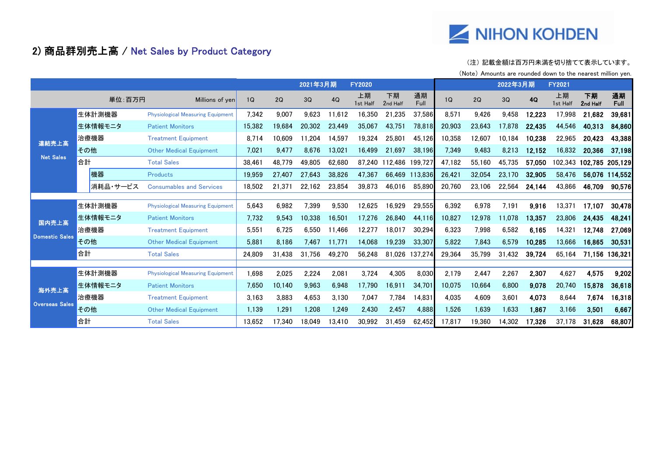

## 2) 商品群別売上高 / Net Sales by Product Category

### (注) 記載金額は百万円未満を切り捨てて表示しています。

(Note) Amounts are rounded down to the nearest million yen.

|                       |          |                                          |        | 2021年3月期 |        | <b>FY2020</b> |                |                |            |        | 2022年3月期 |        | <b>FY2021</b> |                 |                 |                   |
|-----------------------|----------|------------------------------------------|--------|----------|--------|---------------|----------------|----------------|------------|--------|----------|--------|---------------|-----------------|-----------------|-------------------|
|                       | 単位:百万円   | Millions of yen                          | 1Q     | 2Q       | 3Q     | 4Q            | 上期<br>1st Half | 下期<br>2nd Half | 通期<br>Full | 1Q     | 2Q       | 3Q     | <b>4Q</b>     | 上期<br>1st Half  | 下期<br>2nd Half  | 通期<br><b>Full</b> |
|                       | 生体計測機器   | <b>Physiological Measuring Equipment</b> | 7.342  | 9.007    | 9.623  | 11.612        | 16.350         | .235           | 37,586     | 8,571  | 9.426    | 9.458  | 12,223        | 17,998          | 21,682          | 39,681            |
|                       | 生体情報モニタ  | <b>Patient Monitors</b>                  | 15,382 | 19.684   | 20.302 | 23,449        | 35,067         | 43.751         | 78.818     | 20,903 | 23,643   | 17.878 | 22.435        | 44,546          | 40,313          | 84,860            |
| 連結売上高                 | 治療機器     | <b>Treatment Equipment</b>               | 8,714  | 0.609    | 11,204 | 14,597        | 19,324         | 25,801         | 45,126     | 10,358 | 12,607   | 10.184 | 10,238        | 22,965          | 20,423          | 43,388            |
|                       | その他      | <b>Other Medical Equipment</b>           | 7,021  | 9.477    | 8.676  | 13,021        | 16.499         | 21.697         | 38,196     | 7,349  | 9,483    | 8,213  | 12,152        | 16,832          | 20,366          | 37,198            |
| <b>Net Sales</b>      | 合計       | <b>Total Sales</b>                       | 38,461 | 48.779   | 49.805 | 62.680        | 87.240         | 112.486        | 199.72     | 47.182 | 55,160   | 45.735 | 57,050        | 102.343         | 102,785 205,129 |                   |
|                       | 機器       | <b>Products</b>                          | 19,959 | 27.407   | 27,643 | 38.826        | 47,367         | 66.469         | 113.836    | 26,421 | 32,054   | 23.170 | 32,905        | 58.476          | 56.076          | 114.552           |
|                       | 消耗品・サービス | <b>Consumables and Services</b>          | 18.502 | 21.371   | 22,162 | 23,854        | 39,873         | 46.016         | 85.890     | 20.760 | 23.106   | 22,564 | 24,144        | 43.866          | 46,709          | 90,576            |
|                       |          |                                          |        |          |        |               |                |                |            |        |          |        |               |                 |                 |                   |
|                       | 生体計測機器   | <b>Physiological Measuring Equipment</b> | 5,643  | 6,982    | 7,399  | 9,530         | 12,625         | 16,929         | 29,555     | 6,392  | 6,978    | 7,191  | 9.916         | 13,371          | 17,107          | 30,478            |
| 国内売上高                 | 生体情報モニタ  | <b>Patient Monitors</b>                  | 7,732  | 9,543    | 10,338 | 16,501        | 17,276         | 26.840         | 44,116     | 10,827 | 12,978   | 11.078 | 13,357        | 23,806          | 24,435          | 48,241            |
| <b>Domestic Sales</b> | 治療機器     | <b>Treatment Equipment</b>               | 5,551  | 6,725    | 6.550  | 11.466        | 12,277         | 18.017         | 30.294     | 6,323  | 7,998    | 6,582  | 6.165         | $14,32^{\circ}$ | 12.748          | 27,069            |
|                       | その他      | <b>Other Medical Equipment</b>           | 5,881  | 8.186    | 7.467  | 11.771        | 14,068         | 19,239         | 33,307     | 5,822  | 7,843    | 6,579  | 10,285        | 13.666          | 16,865          | 30,531            |
|                       | 合計       | <b>Total Sales</b>                       | 24.809 | 31.438   | 31.756 | 49.270        | 56.248         | 81.026         | 137.274    | 29.364 | 35.799   | 31.432 | 39,724        | 65.164          | 71.156          | 136.321           |
|                       |          |                                          |        |          |        |               |                |                |            |        |          |        |               |                 |                 |                   |
|                       | 生体計測機器   | <b>Physiological Measuring Equipment</b> | 1,698  | 2,025    | 2,224  | 2,081         | 3,724          | 4,305          | 8,030      | 2.179  | 2,447    | 2,267  | 2,307         | 4,627           | 4,575           | 9,202             |
| 海外売上高                 | 生体情報モニタ  | <b>Patient Monitors</b>                  | 7,650  | 10.140   | 9,963  | 6,948         | 17.790         | 16.911         | 34.701     | 10,075 | 10,664   | 6,800  | 9.078         | 20,740          | 15,878          | 36,618            |
|                       | 治療機器     | <b>Treatment Equipment</b>               | 3.163  | 3,883    | 4,653  | 3,130         | 7,047          | 7,784          | 14.831     | 4,035  | 4,609    | 3,601  | 4,073         | 8,644           | 7,674           | 16,318            |
| <b>Overseas Sales</b> | その他      | <b>Other Medical Equipment</b>           | 1.139  | 1.291    | 1.208  | 1,249         | 2,430          | 2,457          | 4,888      | 1,526  | 1,639    | 1,633  | 1,867         | 3,166           | 3,501           | 6,667             |
|                       | 合計       | <b>Total Sales</b>                       | 13.652 | 17.340   | 18.049 | 13.410        | 30.992         | 31.459         | 62.452     | 17.817 | 19.360   | 14.302 | 17,326        | 37.178          | 31.628          | 68,807            |